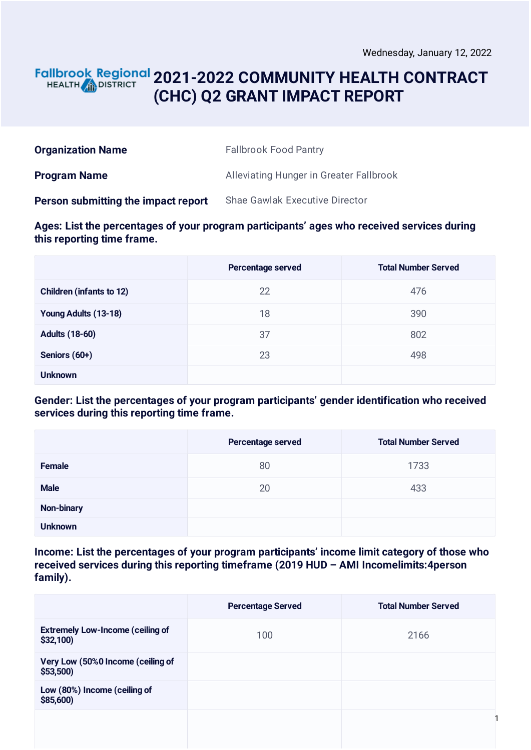# **2021-2022 COMMUNITY HEALTH CONTRACT** HEALTH **in DISTRICT (CHC) Q2 GRANT IMPACT REPORT**

| <b>Organization Name</b>            | <b>Fallbrook Food Pantry</b>            |
|-------------------------------------|-----------------------------------------|
| <b>Program Name</b>                 | Alleviating Hunger in Greater Fallbrook |
| Person submitting the impact report | <b>Shae Gawlak Executive Director</b>   |

## **Ages: List the percentages of your program participants' ages who received services during this reporting time frame.**

|                                 | Percentage served | <b>Total Number Served</b> |
|---------------------------------|-------------------|----------------------------|
| <b>Children (infants to 12)</b> | 22                | 476                        |
| Young Adults (13-18)            | 18                | 390                        |
| <b>Adults (18-60)</b>           | 37                | 802                        |
| Seniors (60+)                   | 23                | 498                        |
| <b>Unknown</b>                  |                   |                            |

## **Gender: List the percentages of your program participants' gender identification who received services during this reporting time frame.**

|                | Percentage served | <b>Total Number Served</b> |
|----------------|-------------------|----------------------------|
| Female         | 80                | 1733                       |
| <b>Male</b>    | 20                | 433                        |
| Non-binary     |                   |                            |
| <b>Unknown</b> |                   |                            |

**Income: List the percentages of your program participants' income limit category of those who received services during this reporting timeframe (2019 HUD – AMI Incomelimits:4person family).**

|                                                     | <b>Percentage Served</b> | <b>Total Number Served</b> |
|-----------------------------------------------------|--------------------------|----------------------------|
| <b>Extremely Low-Income (ceiling of</b><br>\$32,100 | 100                      | 2166                       |
| Very Low (50%0 Income (ceiling of<br>\$53,500       |                          |                            |
| Low (80%) Income (ceiling of<br>\$85,600            |                          |                            |
|                                                     |                          |                            |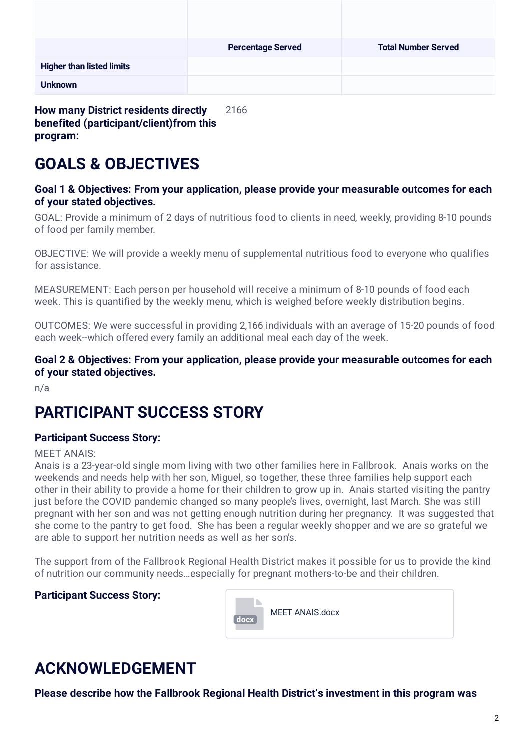|                                  | <b>Percentage Served</b> | <b>Total Number Served</b> |
|----------------------------------|--------------------------|----------------------------|
| <b>Higher than listed limits</b> |                          |                            |
| <b>Unknown</b>                   |                          |                            |

**How many District residents directly benefited (participant/client)from this program:** 2166

# **GOALS & OBJECTIVES**

### **Goal 1 & Objectives: From your application, please provide your measurable outcomes for each of your stated objectives.**

GOAL: Provide a minimum of 2 days of nutritious food to clients in need, weekly, providing 8-10 pounds of food per family member.

OBJECTIVE: We will provide a weekly menu of supplemental nutritious food to everyone who qualifies for assistance.

MEASUREMENT: Each person per household will receive a minimum of 8-10 pounds of food each week. This is quantified by the weekly menu, which is weighed before weekly distribution begins.

OUTCOMES: We were successful in providing 2,166 individuals with an average of 15-20 pounds of food each week--which offered every family an additional meal each day of the week.

## **Goal 2 & Objectives: From your application, please provide your measurable outcomes for each of your stated objectives.**

n/a

# **PARTICIPANT SUCCESS STORY**

# **Participant Success Story:**

#### MEET ANAIS:

Anais is a 23-year-old single mom living with two other families here in Fallbrook. Anais works on the weekends and needs help with her son, Miguel, so together, these three families help support each other in their ability to provide a home for their children to grow up in. Anais started visiting the pantry just before the COVID pandemic changed so many people's lives, overnight, last March. She was still pregnant with her son and was not getting enough nutrition during her pregnancy. It was suggested that she come to the pantry to get food. She has been a regular weekly shopper and we are so grateful we are able to support her nutrition needs as well as her son's.

The support from of the Fallbrook Regional Health District makes it possible for us to provide the kind of nutrition our community needs…especially for pregnant mothers-to-be and their children.

**Participant Success Story:**



# **ACKNOWLEDGEMENT**

**Please describe how the Fallbrook Regional Health District's investment in this program was**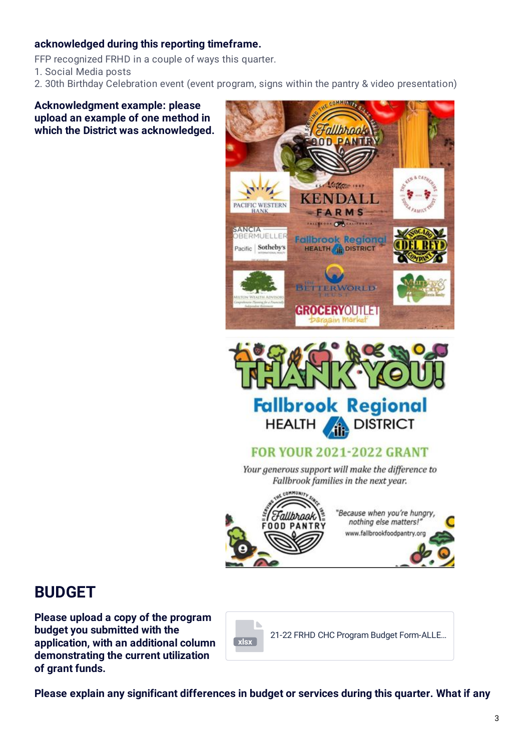## **acknowledged during this reporting timeframe.**

- FFP recognized FRHD in a couple of ways this quarter.
- 1. Social Media posts
- 2. 30th Birthday Celebration event (event program, signs within the pantry & video presentation)

**Acknowledgment example: please upload an example of one method in which the District was acknowledged.**





# **FOR YOUR 2021-2022 GRANT**

Your generous support will make the difference to Fallbrook families in the next year.



# **BUDGET**

**Please upload a copy of the program budget you submitted with the application, with an additional column demonstrating the current utilization of grant funds.**



**Please explain any significant differences in budget or services during this quarter. What if any**